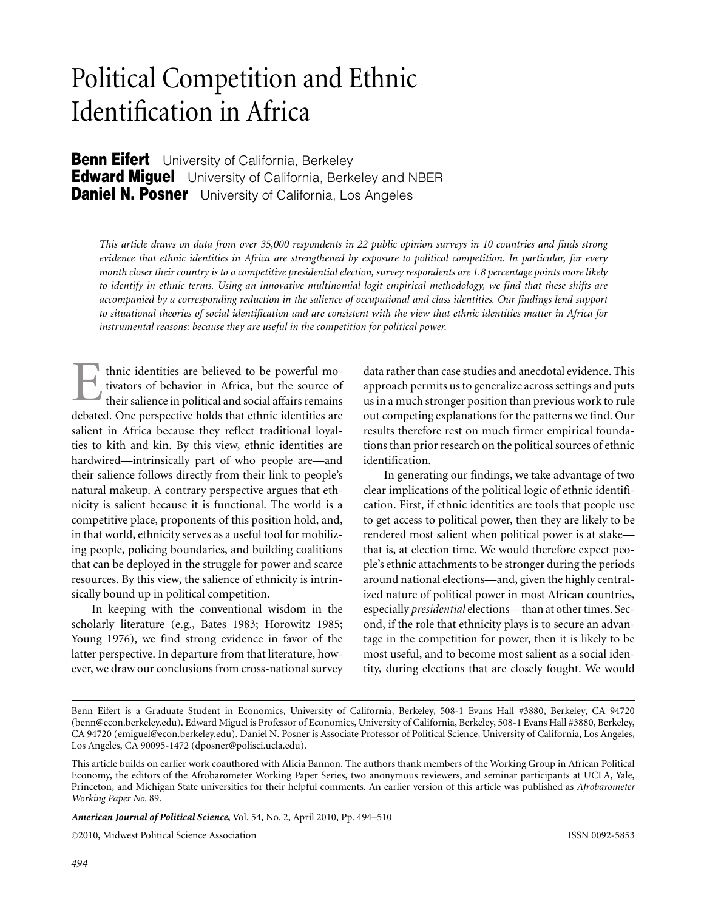# Political Competition and Ethnic Identification in Africa

**Benn Eifert** University of California, Berkeley **Edward Miguel** University of California, Berkeley and NBER **Daniel N. Posner** University of California, Los Angeles

*This article draws on data from over 35,000 respondents in 22 public opinion surveys in 10 countries and finds strong evidence that ethnic identities in Africa are strengthened by exposure to political competition. In particular, for every month closer their country is to a competitive presidential election, survey respondents are 1.8 percentage points more likely to identify in ethnic terms. Using an innovative multinomial logit empirical methodology, we find that these shifts are accompanied by a corresponding reduction in the salience of occupational and class identities. Our findings lend support to situational theories of social identification and are consistent with the view that ethnic identities matter in Africa for instrumental reasons: because they are useful in the competition for political power.*

This identities are believed to be powerful mo-<br>tivators of behavior in Africa, but the source of<br>their salience in political and social affairs remains<br>debated. One perspective helds that other identities are tivators of behavior in Africa, but the source of debated. One perspective holds that ethnic identities are salient in Africa because they reflect traditional loyalties to kith and kin. By this view, ethnic identities are hardwired—intrinsically part of who people are—and their salience follows directly from their link to people's natural makeup. A contrary perspective argues that ethnicity is salient because it is functional. The world is a competitive place, proponents of this position hold, and, in that world, ethnicity serves as a useful tool for mobilizing people, policing boundaries, and building coalitions that can be deployed in the struggle for power and scarce resources. By this view, the salience of ethnicity is intrinsically bound up in political competition.

In keeping with the conventional wisdom in the scholarly literature (e.g., Bates 1983; Horowitz 1985; Young 1976), we find strong evidence in favor of the latter perspective. In departure from that literature, however, we draw our conclusions from cross-national survey data rather than case studies and anecdotal evidence. This approach permits us to generalize across settings and puts us in a much stronger position than previous work to rule out competing explanations for the patterns we find. Our results therefore rest on much firmer empirical foundations than prior research on the political sources of ethnic identification.

In generating our findings, we take advantage of two clear implications of the political logic of ethnic identification. First, if ethnic identities are tools that people use to get access to political power, then they are likely to be rendered most salient when political power is at stake that is, at election time. We would therefore expect people's ethnic attachments to be stronger during the periods around national elections—and, given the highly centralized nature of political power in most African countries, especially *presidential* elections—than at other times. Second, if the role that ethnicity plays is to secure an advantage in the competition for power, then it is likely to be most useful, and to become most salient as a social identity, during elections that are closely fought. We would

C2010, Midwest Political Science Association **ISSN** 0092-5853

Benn Eifert is a Graduate Student in Economics, University of California, Berkeley, 508-1 Evans Hall #3880, Berkeley, CA 94720 (benn@econ.berkeley.edu). Edward Miguel is Professor of Economics, University of California, Berkeley, 508-1 Evans Hall #3880, Berkeley, CA 94720 (emiguel@econ.berkeley.edu). Daniel N. Posner is Associate Professor of Political Science, University of California, Los Angeles, Los Angeles, CA 90095-1472 (dposner@polisci.ucla.edu).

This article builds on earlier work coauthored with Alicia Bannon. The authors thank members of the Working Group in African Political Economy, the editors of the Afrobarometer Working Paper Series, two anonymous reviewers, and seminar participants at UCLA, Yale, Princeton, and Michigan State universities for their helpful comments. An earlier version of this article was published as *Afrobarometer Working Paper No.* 89.

*American Journal of Political Science***,** Vol. 54, No. 2, April 2010, Pp. 494–510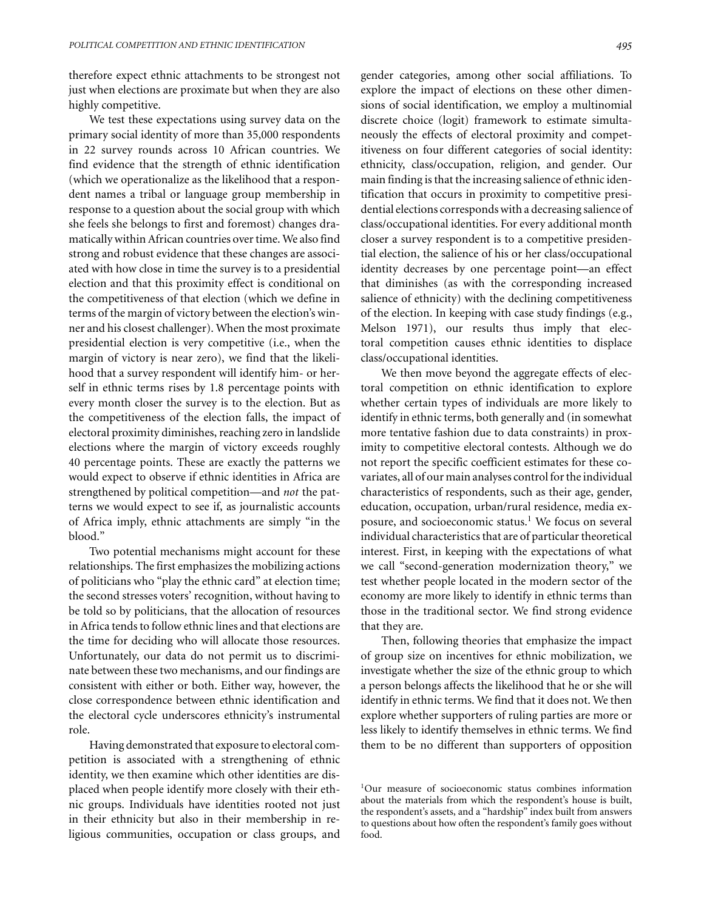therefore expect ethnic attachments to be strongest not just when elections are proximate but when they are also highly competitive.

We test these expectations using survey data on the primary social identity of more than 35,000 respondents in 22 survey rounds across 10 African countries. We find evidence that the strength of ethnic identification (which we operationalize as the likelihood that a respondent names a tribal or language group membership in response to a question about the social group with which she feels she belongs to first and foremost) changes dramatically within African countries over time. We also find strong and robust evidence that these changes are associated with how close in time the survey is to a presidential election and that this proximity effect is conditional on the competitiveness of that election (which we define in terms of the margin of victory between the election's winner and his closest challenger). When the most proximate presidential election is very competitive (i.e., when the margin of victory is near zero), we find that the likelihood that a survey respondent will identify him- or herself in ethnic terms rises by 1.8 percentage points with every month closer the survey is to the election. But as the competitiveness of the election falls, the impact of electoral proximity diminishes, reaching zero in landslide elections where the margin of victory exceeds roughly 40 percentage points. These are exactly the patterns we would expect to observe if ethnic identities in Africa are strengthened by political competition—and *not* the patterns we would expect to see if, as journalistic accounts of Africa imply, ethnic attachments are simply "in the blood."

Two potential mechanisms might account for these relationships. The first emphasizes the mobilizing actions of politicians who "play the ethnic card" at election time; the second stresses voters' recognition, without having to be told so by politicians, that the allocation of resources in Africa tends to follow ethnic lines and that elections are the time for deciding who will allocate those resources. Unfortunately, our data do not permit us to discriminate between these two mechanisms, and our findings are consistent with either or both. Either way, however, the close correspondence between ethnic identification and the electoral cycle underscores ethnicity's instrumental role.

Having demonstrated that exposure to electoral competition is associated with a strengthening of ethnic identity, we then examine which other identities are displaced when people identify more closely with their ethnic groups. Individuals have identities rooted not just in their ethnicity but also in their membership in religious communities, occupation or class groups, and gender categories, among other social affiliations. To explore the impact of elections on these other dimensions of social identification, we employ a multinomial discrete choice (logit) framework to estimate simultaneously the effects of electoral proximity and competitiveness on four different categories of social identity: ethnicity, class/occupation, religion, and gender. Our main finding is that the increasing salience of ethnic identification that occurs in proximity to competitive presidential elections corresponds with a decreasing salience of class/occupational identities. For every additional month closer a survey respondent is to a competitive presidential election, the salience of his or her class/occupational identity decreases by one percentage point—an effect that diminishes (as with the corresponding increased salience of ethnicity) with the declining competitiveness of the election. In keeping with case study findings (e.g., Melson 1971), our results thus imply that electoral competition causes ethnic identities to displace class/occupational identities.

We then move beyond the aggregate effects of electoral competition on ethnic identification to explore whether certain types of individuals are more likely to identify in ethnic terms, both generally and (in somewhat more tentative fashion due to data constraints) in proximity to competitive electoral contests. Although we do not report the specific coefficient estimates for these covariates, all of our main analyses control for the individual characteristics of respondents, such as their age, gender, education, occupation, urban/rural residence, media exposure, and socioeconomic status.<sup>1</sup> We focus on several individual characteristics that are of particular theoretical interest. First, in keeping with the expectations of what we call "second-generation modernization theory," we test whether people located in the modern sector of the economy are more likely to identify in ethnic terms than those in the traditional sector. We find strong evidence that they are.

Then, following theories that emphasize the impact of group size on incentives for ethnic mobilization, we investigate whether the size of the ethnic group to which a person belongs affects the likelihood that he or she will identify in ethnic terms. We find that it does not. We then explore whether supporters of ruling parties are more or less likely to identify themselves in ethnic terms. We find them to be no different than supporters of opposition

<sup>&</sup>lt;sup>1</sup>Our measure of socioeconomic status combines information about the materials from which the respondent's house is built, the respondent's assets, and a "hardship" index built from answers to questions about how often the respondent's family goes without food.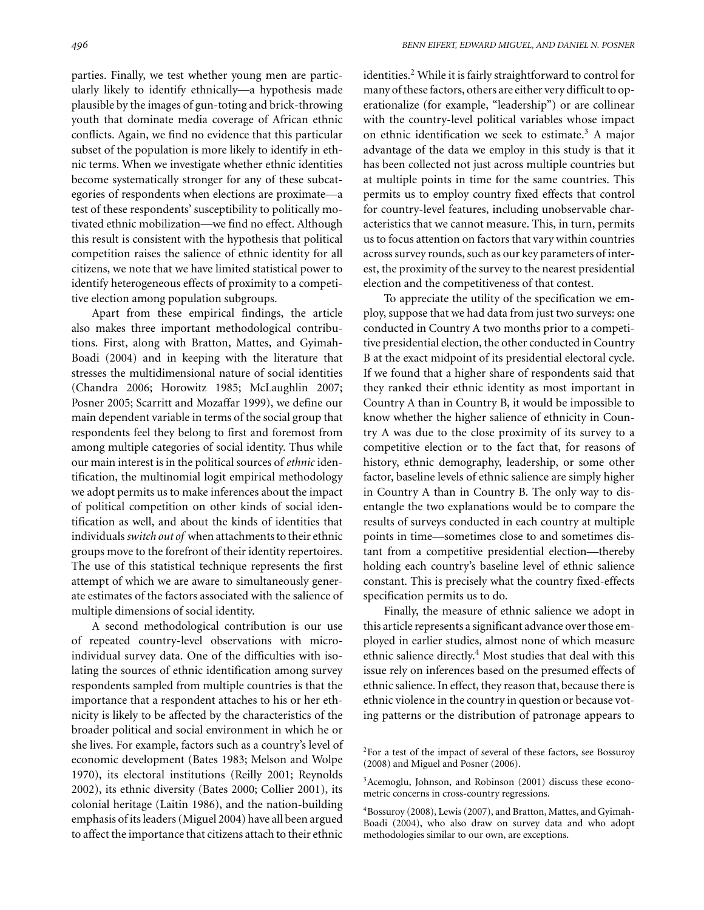parties. Finally, we test whether young men are particularly likely to identify ethnically—a hypothesis made plausible by the images of gun-toting and brick-throwing youth that dominate media coverage of African ethnic conflicts. Again, we find no evidence that this particular subset of the population is more likely to identify in ethnic terms. When we investigate whether ethnic identities become systematically stronger for any of these subcategories of respondents when elections are proximate—a test of these respondents' susceptibility to politically motivated ethnic mobilization—we find no effect. Although this result is consistent with the hypothesis that political competition raises the salience of ethnic identity for all citizens, we note that we have limited statistical power to identify heterogeneous effects of proximity to a competitive election among population subgroups.

Apart from these empirical findings, the article also makes three important methodological contributions. First, along with Bratton, Mattes, and Gyimah-Boadi (2004) and in keeping with the literature that stresses the multidimensional nature of social identities (Chandra 2006; Horowitz 1985; McLaughlin 2007; Posner 2005; Scarritt and Mozaffar 1999), we define our main dependent variable in terms of the social group that respondents feel they belong to first and foremost from among multiple categories of social identity. Thus while our main interest is in the political sources of*ethnic* identification, the multinomial logit empirical methodology we adopt permits us to make inferences about the impact of political competition on other kinds of social identification as well, and about the kinds of identities that individuals*switch out of* when attachments to their ethnic groups move to the forefront of their identity repertoires. The use of this statistical technique represents the first attempt of which we are aware to simultaneously generate estimates of the factors associated with the salience of multiple dimensions of social identity.

A second methodological contribution is our use of repeated country-level observations with microindividual survey data. One of the difficulties with isolating the sources of ethnic identification among survey respondents sampled from multiple countries is that the importance that a respondent attaches to his or her ethnicity is likely to be affected by the characteristics of the broader political and social environment in which he or she lives. For example, factors such as a country's level of economic development (Bates 1983; Melson and Wolpe 1970), its electoral institutions (Reilly 2001; Reynolds 2002), its ethnic diversity (Bates 2000; Collier 2001), its colonial heritage (Laitin 1986), and the nation-building emphasis of its leaders (Miguel 2004) have all been argued to affect the importance that citizens attach to their ethnic

identities.<sup>2</sup> While it is fairly straightforward to control for many of these factors, others are either very difficult to operationalize (for example, "leadership") or are collinear with the country-level political variables whose impact on ethnic identification we seek to estimate.<sup>3</sup> A major advantage of the data we employ in this study is that it has been collected not just across multiple countries but at multiple points in time for the same countries. This permits us to employ country fixed effects that control for country-level features, including unobservable characteristics that we cannot measure. This, in turn, permits us to focus attention on factors that vary within countries across survey rounds, such as our key parameters of interest, the proximity of the survey to the nearest presidential election and the competitiveness of that contest.

To appreciate the utility of the specification we employ, suppose that we had data from just two surveys: one conducted in Country A two months prior to a competitive presidential election, the other conducted in Country B at the exact midpoint of its presidential electoral cycle. If we found that a higher share of respondents said that they ranked their ethnic identity as most important in Country A than in Country B, it would be impossible to know whether the higher salience of ethnicity in Country A was due to the close proximity of its survey to a competitive election or to the fact that, for reasons of history, ethnic demography, leadership, or some other factor, baseline levels of ethnic salience are simply higher in Country A than in Country B. The only way to disentangle the two explanations would be to compare the results of surveys conducted in each country at multiple points in time—sometimes close to and sometimes distant from a competitive presidential election—thereby holding each country's baseline level of ethnic salience constant. This is precisely what the country fixed-effects specification permits us to do.

Finally, the measure of ethnic salience we adopt in this article represents a significant advance over those employed in earlier studies, almost none of which measure ethnic salience directly.<sup>4</sup> Most studies that deal with this issue rely on inferences based on the presumed effects of ethnic salience. In effect, they reason that, because there is ethnic violence in the country in question or because voting patterns or the distribution of patronage appears to

<sup>2</sup>For a test of the impact of several of these factors, see Bossuroy (2008) and Miguel and Posner (2006).

<sup>3</sup>Acemoglu, Johnson, and Robinson (2001) discuss these econometric concerns in cross-country regressions.

<sup>&</sup>lt;sup>4</sup>Bossuroy (2008), Lewis (2007), and Bratton, Mattes, and Gyimah-Boadi (2004), who also draw on survey data and who adopt methodologies similar to our own, are exceptions.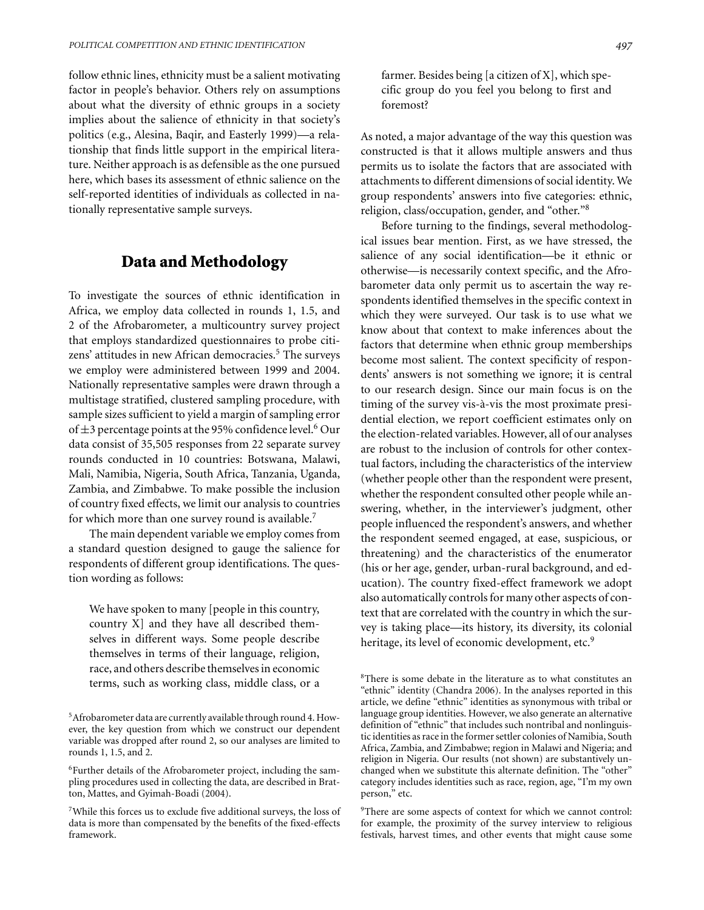follow ethnic lines, ethnicity must be a salient motivating factor in people's behavior. Others rely on assumptions about what the diversity of ethnic groups in a society implies about the salience of ethnicity in that society's politics (e.g., Alesina, Baqir, and Easterly 1999)—a relationship that finds little support in the empirical literature. Neither approach is as defensible as the one pursued here, which bases its assessment of ethnic salience on the self-reported identities of individuals as collected in nationally representative sample surveys.

## **Data and Methodology**

To investigate the sources of ethnic identification in Africa, we employ data collected in rounds 1, 1.5, and 2 of the Afrobarometer, a multicountry survey project that employs standardized questionnaires to probe citizens' attitudes in new African democracies.<sup>5</sup> The surveys we employ were administered between 1999 and 2004. Nationally representative samples were drawn through a multistage stratified, clustered sampling procedure, with sample sizes sufficient to yield a margin of sampling error of  $\pm$ 3 percentage points at the 95% confidence level.<sup>6</sup> Our data consist of 35,505 responses from 22 separate survey rounds conducted in 10 countries: Botswana, Malawi, Mali, Namibia, Nigeria, South Africa, Tanzania, Uganda, Zambia, and Zimbabwe. To make possible the inclusion of country fixed effects, we limit our analysis to countries for which more than one survey round is available.<sup>7</sup>

The main dependent variable we employ comes from a standard question designed to gauge the salience for respondents of different group identifications. The question wording as follows:

We have spoken to many [people in this country, country X] and they have all described themselves in different ways. Some people describe themselves in terms of their language, religion, race, and others describe themselves in economic terms, such as working class, middle class, or a

farmer. Besides being [a citizen of X], which specific group do you feel you belong to first and foremost?

As noted, a major advantage of the way this question was constructed is that it allows multiple answers and thus permits us to isolate the factors that are associated with attachments to different dimensions of social identity. We group respondents' answers into five categories: ethnic, religion, class/occupation, gender, and "other."8

Before turning to the findings, several methodological issues bear mention. First, as we have stressed, the salience of any social identification—be it ethnic or otherwise—is necessarily context specific, and the Afrobarometer data only permit us to ascertain the way respondents identified themselves in the specific context in which they were surveyed. Our task is to use what we know about that context to make inferences about the factors that determine when ethnic group memberships become most salient. The context specificity of respondents' answers is not something we ignore; it is central to our research design. Since our main focus is on the timing of the survey vis-à-vis the most proximate presidential election, we report coefficient estimates only on the election-related variables. However, all of our analyses are robust to the inclusion of controls for other contextual factors, including the characteristics of the interview (whether people other than the respondent were present, whether the respondent consulted other people while answering, whether, in the interviewer's judgment, other people influenced the respondent's answers, and whether the respondent seemed engaged, at ease, suspicious, or threatening) and the characteristics of the enumerator (his or her age, gender, urban-rural background, and education). The country fixed-effect framework we adopt also automatically controls for many other aspects of context that are correlated with the country in which the survey is taking place—its history, its diversity, its colonial heritage, its level of economic development, etc.<sup>9</sup>

<sup>5</sup>Afrobarometer data are currently available through round 4. However, the key question from which we construct our dependent variable was dropped after round 2, so our analyses are limited to rounds 1, 1.5, and 2.

<sup>&</sup>lt;sup>6</sup>Further details of the Afrobarometer project, including the sampling procedures used in collecting the data, are described in Bratton, Mattes, and Gyimah-Boadi (2004).

<sup>7</sup>While this forces us to exclude five additional surveys, the loss of data is more than compensated by the benefits of the fixed-effects framework.

<sup>8</sup>There is some debate in the literature as to what constitutes an "ethnic" identity (Chandra 2006). In the analyses reported in this article, we define "ethnic" identities as synonymous with tribal or language group identities. However, we also generate an alternative definition of "ethnic" that includes such nontribal and nonlinguistic identities as race in the former settler colonies of Namibia, South Africa, Zambia, and Zimbabwe; region in Malawi and Nigeria; and religion in Nigeria. Our results (not shown) are substantively unchanged when we substitute this alternate definition. The "other" category includes identities such as race, region, age, "I'm my own person," etc.

<sup>&</sup>lt;sup>9</sup>There are some aspects of context for which we cannot control: for example, the proximity of the survey interview to religious festivals, harvest times, and other events that might cause some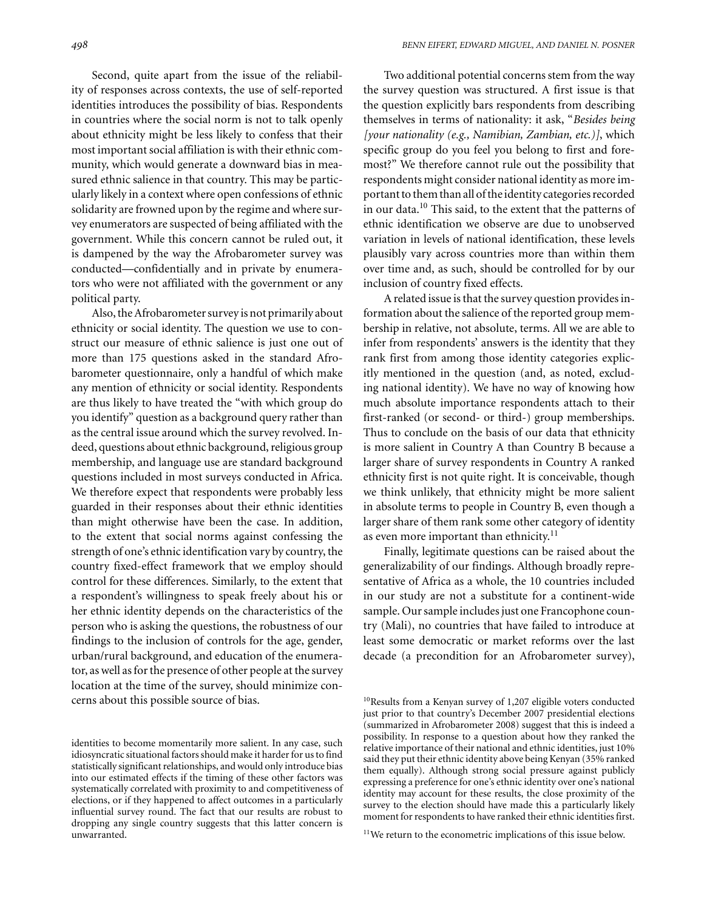Second, quite apart from the issue of the reliability of responses across contexts, the use of self-reported identities introduces the possibility of bias. Respondents in countries where the social norm is not to talk openly about ethnicity might be less likely to confess that their most important social affiliation is with their ethnic community, which would generate a downward bias in measured ethnic salience in that country. This may be particularly likely in a context where open confessions of ethnic solidarity are frowned upon by the regime and where survey enumerators are suspected of being affiliated with the government. While this concern cannot be ruled out, it is dampened by the way the Afrobarometer survey was conducted—confidentially and in private by enumerators who were not affiliated with the government or any political party.

Also, the Afrobarometer survey is not primarily about ethnicity or social identity. The question we use to construct our measure of ethnic salience is just one out of more than 175 questions asked in the standard Afrobarometer questionnaire, only a handful of which make any mention of ethnicity or social identity. Respondents are thus likely to have treated the "with which group do you identify" question as a background query rather than as the central issue around which the survey revolved. Indeed, questions about ethnic background, religious group membership, and language use are standard background questions included in most surveys conducted in Africa. We therefore expect that respondents were probably less guarded in their responses about their ethnic identities than might otherwise have been the case. In addition, to the extent that social norms against confessing the strength of one's ethnic identification vary by country, the country fixed-effect framework that we employ should control for these differences. Similarly, to the extent that a respondent's willingness to speak freely about his or her ethnic identity depends on the characteristics of the person who is asking the questions, the robustness of our findings to the inclusion of controls for the age, gender, urban/rural background, and education of the enumerator, as well as for the presence of other people at the survey location at the time of the survey, should minimize concerns about this possible source of bias.

identities to become momentarily more salient. In any case, such idiosyncratic situational factors should make it harder for us to find statistically significant relationships, and would only introduce bias into our estimated effects if the timing of these other factors was systematically correlated with proximity to and competitiveness of elections, or if they happened to affect outcomes in a particularly influential survey round. The fact that our results are robust to dropping any single country suggests that this latter concern is unwarranted.

Two additional potential concerns stem from the way the survey question was structured. A first issue is that the question explicitly bars respondents from describing themselves in terms of nationality: it ask, "*Besides being [your nationality (e.g., Namibian, Zambian, etc.)]*, which specific group do you feel you belong to first and foremost?" We therefore cannot rule out the possibility that respondents might consider national identity as more important to them than all of the identity categories recorded in our data.10 This said, to the extent that the patterns of ethnic identification we observe are due to unobserved variation in levels of national identification, these levels plausibly vary across countries more than within them over time and, as such, should be controlled for by our inclusion of country fixed effects.

A related issue is that the survey question provides information about the salience of the reported group membership in relative, not absolute, terms. All we are able to infer from respondents' answers is the identity that they rank first from among those identity categories explicitly mentioned in the question (and, as noted, excluding national identity). We have no way of knowing how much absolute importance respondents attach to their first-ranked (or second- or third-) group memberships. Thus to conclude on the basis of our data that ethnicity is more salient in Country A than Country B because a larger share of survey respondents in Country A ranked ethnicity first is not quite right. It is conceivable, though we think unlikely, that ethnicity might be more salient in absolute terms to people in Country B, even though a larger share of them rank some other category of identity as even more important than ethnicity.<sup>11</sup>

Finally, legitimate questions can be raised about the generalizability of our findings. Although broadly representative of Africa as a whole, the 10 countries included in our study are not a substitute for a continent-wide sample. Our sample includes just one Francophone country (Mali), no countries that have failed to introduce at least some democratic or market reforms over the last decade (a precondition for an Afrobarometer survey),

<sup>11</sup>We return to the econometric implications of this issue below.

<sup>10</sup>Results from a Kenyan survey of 1,207 eligible voters conducted just prior to that country's December 2007 presidential elections (summarized in Afrobarometer 2008) suggest that this is indeed a possibility. In response to a question about how they ranked the relative importance of their national and ethnic identities, just 10% said they put their ethnic identity above being Kenyan (35% ranked them equally). Although strong social pressure against publicly expressing a preference for one's ethnic identity over one's national identity may account for these results, the close proximity of the survey to the election should have made this a particularly likely moment for respondents to have ranked their ethnic identities first.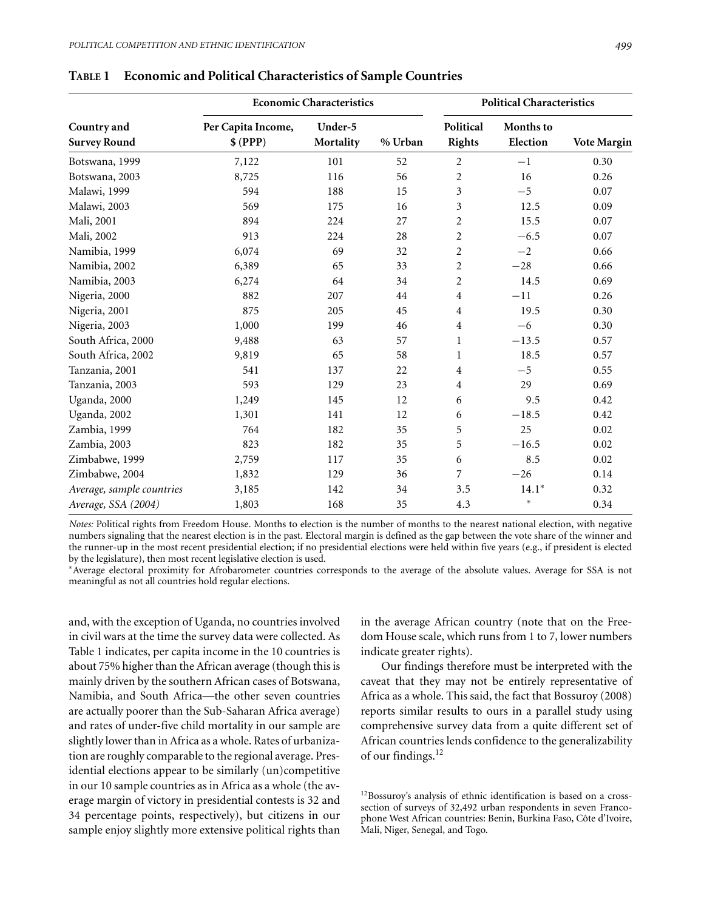|                                    | <b>Economic Characteristics</b> | <b>Political Characteristics</b> |         |                            |                              |                    |
|------------------------------------|---------------------------------|----------------------------------|---------|----------------------------|------------------------------|--------------------|
| Country and<br><b>Survey Round</b> | Per Capita Income,<br>\$ (PPP)  | Under-5<br>Mortality             | % Urban | Political<br><b>Rights</b> | <b>Months</b> to<br>Election | <b>Vote Margin</b> |
| Botswana, 1999                     | 7,122                           | 101                              | 52      | $\overline{2}$             | $-1$                         | 0.30               |
| Botswana, 2003                     | 8,725                           | 116                              | 56      | 2                          | 16                           | 0.26               |
| Malawi, 1999                       | 594                             | 188                              | 15      | 3                          | $-5$                         | 0.07               |
| Malawi, 2003                       | 569                             | 175                              | 16      | 3                          | 12.5                         | 0.09               |
| Mali, 2001                         | 894                             | 224                              | 27      | 2                          | 15.5                         | 0.07               |
| Mali, 2002                         | 913                             | 224                              | 28      | $\overline{c}$             | $-6.5$                       | $0.07\,$           |
| Namibia, 1999                      | 6,074                           | 69                               | 32      | $\overline{2}$             | $-2$                         | 0.66               |
| Namibia, 2002                      | 6,389                           | 65                               | 33      | $\overline{c}$             | $-28$                        | 0.66               |
| Namibia, 2003                      | 6,274                           | 64                               | 34      | $\overline{2}$             | 14.5                         | 0.69               |
| Nigeria, 2000                      | 882                             | 207                              | 44      | 4                          | $-11$                        | 0.26               |
| Nigeria, 2001                      | 875                             | 205                              | 45      | $\overline{4}$             | 19.5                         | 0.30               |
| Nigeria, 2003                      | 1,000                           | 199                              | 46      | 4                          | $-6$                         | 0.30               |
| South Africa, 2000                 | 9,488                           | 63                               | 57      | $\mathbf{1}$               | $-13.5$                      | 0.57               |
| South Africa, 2002                 | 9,819                           | 65                               | 58      | $\mathbf{1}$               | 18.5                         | 0.57               |
| Tanzania, 2001                     | 541                             | 137                              | 22      | 4                          | $-5$                         | 0.55               |
| Tanzania, 2003                     | 593                             | 129                              | 23      | $\overline{4}$             | 29                           | 0.69               |
| Uganda, 2000                       | 1,249                           | 145                              | 12      | 6                          | 9.5                          | 0.42               |
| Uganda, 2002                       | 1,301                           | 141                              | 12      | 6                          | $-18.5$                      | 0.42               |
| Zambia, 1999                       | 764                             | 182                              | 35      | 5                          | 25                           | 0.02               |
| Zambia, 2003                       | 823                             | 182                              | 35      | 5                          | $-16.5$                      | 0.02               |
| Zimbabwe, 1999                     | 2,759                           | 117                              | 35      | 6                          | 8.5                          | 0.02               |
| Zimbabwe, 2004                     | 1,832                           | 129                              | 36      | 7                          | $-26$                        | 0.14               |
| Average, sample countries          | 3,185                           | 142                              | 34      | 3.5                        | $14.1*$                      | 0.32               |
| Average, SSA (2004)                | 1,803                           | 168                              | 35      | 4.3                        | $\ast$                       | 0.34               |

**TABLE 1 Economic and Political Characteristics of Sample Countries**

*Notes:* Political rights from Freedom House. Months to election is the number of months to the nearest national election, with negative numbers signaling that the nearest election is in the past. Electoral margin is defined as the gap between the vote share of the winner and the runner-up in the most recent presidential election; if no presidential elections were held within five years (e.g., if president is elected by the legislature), then most recent legislative election is used.

<sup>∗</sup>Average electoral proximity for Afrobarometer countries corresponds to the average of the absolute values. Average for SSA is not meaningful as not all countries hold regular elections.

and, with the exception of Uganda, no countries involved in civil wars at the time the survey data were collected. As Table 1 indicates, per capita income in the 10 countries is about 75% higher than the African average (though this is mainly driven by the southern African cases of Botswana, Namibia, and South Africa—the other seven countries are actually poorer than the Sub-Saharan Africa average) and rates of under-five child mortality in our sample are slightly lower than in Africa as a whole. Rates of urbanization are roughly comparable to the regional average. Presidential elections appear to be similarly (un)competitive in our 10 sample countries as in Africa as a whole (the average margin of victory in presidential contests is 32 and 34 percentage points, respectively), but citizens in our sample enjoy slightly more extensive political rights than in the average African country (note that on the Freedom House scale, which runs from 1 to 7, lower numbers indicate greater rights).

Our findings therefore must be interpreted with the caveat that they may not be entirely representative of Africa as a whole. This said, the fact that Bossuroy (2008) reports similar results to ours in a parallel study using comprehensive survey data from a quite different set of African countries lends confidence to the generalizability of our findings.<sup>12</sup>

<sup>12</sup>Bossuroy's analysis of ethnic identification is based on a crosssection of surveys of 32,492 urban respondents in seven Francophone West African countries: Benin, Burkina Faso, Côte d'Ivoire, Mali, Niger, Senegal, and Togo.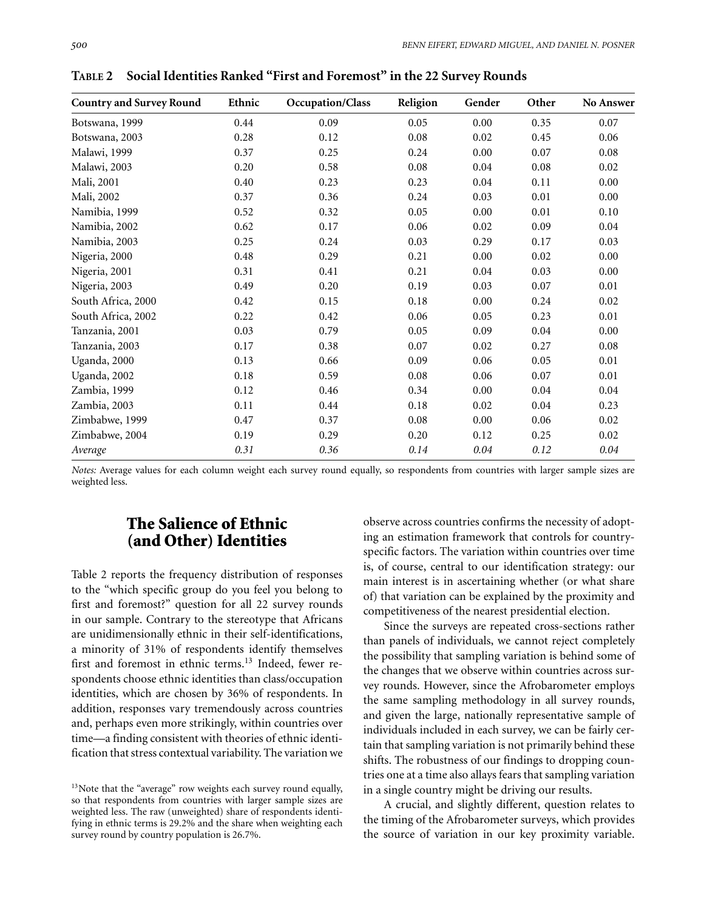| <b>Country and Survey Round</b> | Ethnic | Occupation/Class | Religion | Gender | Other | <b>No Answer</b> |
|---------------------------------|--------|------------------|----------|--------|-------|------------------|
| Botswana, 1999                  | 0.44   | 0.09             | 0.05     | 0.00   | 0.35  | 0.07             |
| Botswana, 2003                  | 0.28   | 0.12             | 0.08     | 0.02   | 0.45  | 0.06             |
| Malawi, 1999                    | 0.37   | 0.25             | 0.24     | 0.00   | 0.07  | 0.08             |
| Malawi, 2003                    | 0.20   | 0.58             | 0.08     | 0.04   | 0.08  | 0.02             |
| Mali, 2001                      | 0.40   | 0.23             | 0.23     | 0.04   | 0.11  | 0.00             |
| Mali, 2002                      | 0.37   | 0.36             | 0.24     | 0.03   | 0.01  | 0.00             |
| Namibia, 1999                   | 0.52   | 0.32             | 0.05     | 0.00   | 0.01  | 0.10             |
| Namibia, 2002                   | 0.62   | 0.17             | 0.06     | 0.02   | 0.09  | 0.04             |
| Namibia, 2003                   | 0.25   | 0.24             | 0.03     | 0.29   | 0.17  | 0.03             |
| Nigeria, 2000                   | 0.48   | 0.29             | 0.21     | 0.00   | 0.02  | 0.00             |
| Nigeria, 2001                   | 0.31   | 0.41             | 0.21     | 0.04   | 0.03  | 0.00             |
| Nigeria, 2003                   | 0.49   | 0.20             | 0.19     | 0.03   | 0.07  | 0.01             |
| South Africa, 2000              | 0.42   | 0.15             | 0.18     | 0.00   | 0.24  | 0.02             |
| South Africa, 2002              | 0.22   | 0.42             | 0.06     | 0.05   | 0.23  | 0.01             |
| Tanzania, 2001                  | 0.03   | 0.79             | 0.05     | 0.09   | 0.04  | 0.00             |
| Tanzania, 2003                  | 0.17   | 0.38             | 0.07     | 0.02   | 0.27  | 0.08             |
| Uganda, 2000                    | 0.13   | 0.66             | 0.09     | 0.06   | 0.05  | 0.01             |
| Uganda, 2002                    | 0.18   | 0.59             | 0.08     | 0.06   | 0.07  | 0.01             |
| Zambia, 1999                    | 0.12   | 0.46             | 0.34     | 0.00   | 0.04  | $0.04\,$         |
| Zambia, 2003                    | 0.11   | 0.44             | 0.18     | 0.02   | 0.04  | 0.23             |
| Zimbabwe, 1999                  | 0.47   | 0.37             | 0.08     | 0.00   | 0.06  | 0.02             |
| Zimbabwe, 2004                  | 0.19   | 0.29             | 0.20     | 0.12   | 0.25  | 0.02             |
| Average                         | 0.31   | 0.36             | 0.14     | 0.04   | 0.12  | 0.04             |

**TABLE 2 Social Identities Ranked "First and Foremost" in the 22 Survey Rounds**

*Notes:* Average values for each column weight each survey round equally, so respondents from countries with larger sample sizes are weighted less.

# **The Salience of Ethnic (and Other) Identities**

Table 2 reports the frequency distribution of responses to the "which specific group do you feel you belong to first and foremost?" question for all 22 survey rounds in our sample. Contrary to the stereotype that Africans are unidimensionally ethnic in their self-identifications, a minority of 31% of respondents identify themselves first and foremost in ethnic terms.<sup>13</sup> Indeed, fewer respondents choose ethnic identities than class/occupation identities, which are chosen by 36% of respondents. In addition, responses vary tremendously across countries and, perhaps even more strikingly, within countries over time—a finding consistent with theories of ethnic identification that stress contextual variability. The variation we

observe across countries confirms the necessity of adopting an estimation framework that controls for countryspecific factors. The variation within countries over time is, of course, central to our identification strategy: our main interest is in ascertaining whether (or what share of) that variation can be explained by the proximity and competitiveness of the nearest presidential election.

Since the surveys are repeated cross-sections rather than panels of individuals, we cannot reject completely the possibility that sampling variation is behind some of the changes that we observe within countries across survey rounds. However, since the Afrobarometer employs the same sampling methodology in all survey rounds, and given the large, nationally representative sample of individuals included in each survey, we can be fairly certain that sampling variation is not primarily behind these shifts. The robustness of our findings to dropping countries one at a time also allays fears that sampling variation in a single country might be driving our results.

A crucial, and slightly different, question relates to the timing of the Afrobarometer surveys, which provides the source of variation in our key proximity variable.

<sup>&</sup>lt;sup>13</sup>Note that the "average" row weights each survey round equally, so that respondents from countries with larger sample sizes are weighted less. The raw (unweighted) share of respondents identifying in ethnic terms is 29.2% and the share when weighting each survey round by country population is 26.7%.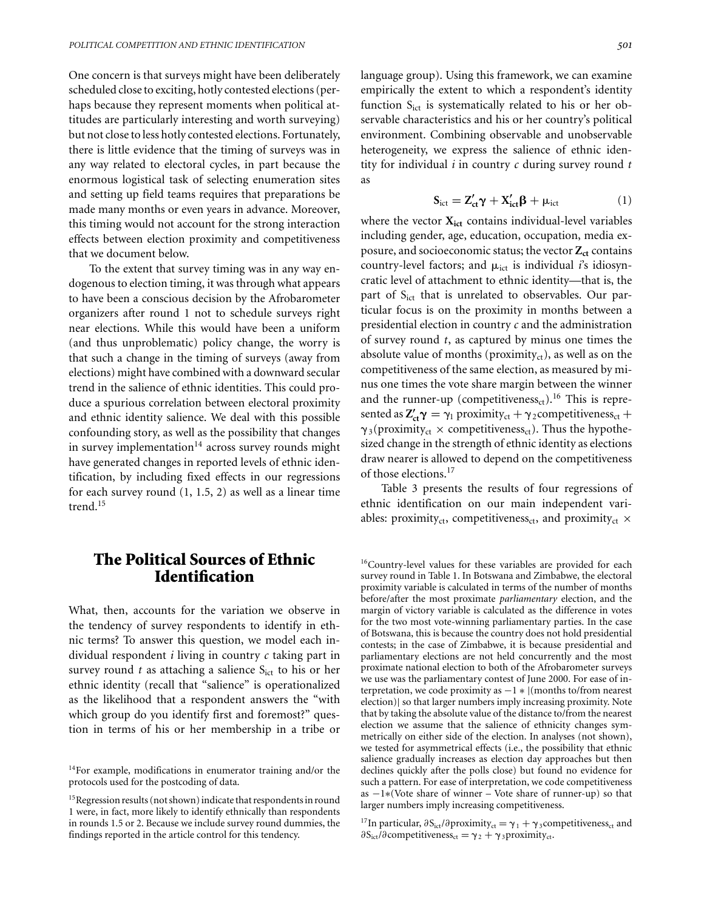One concern is that surveys might have been deliberately scheduled close to exciting, hotly contested elections (perhaps because they represent moments when political attitudes are particularly interesting and worth surveying) but not close to less hotly contested elections. Fortunately, there is little evidence that the timing of surveys was in any way related to electoral cycles, in part because the enormous logistical task of selecting enumeration sites and setting up field teams requires that preparations be made many months or even years in advance. Moreover, this timing would not account for the strong interaction effects between election proximity and competitiveness that we document below.

To the extent that survey timing was in any way endogenous to election timing, it was through what appears to have been a conscious decision by the Afrobarometer organizers after round 1 not to schedule surveys right near elections. While this would have been a uniform (and thus unproblematic) policy change, the worry is that such a change in the timing of surveys (away from elections) might have combined with a downward secular trend in the salience of ethnic identities. This could produce a spurious correlation between electoral proximity and ethnic identity salience. We deal with this possible confounding story, as well as the possibility that changes in survey implementation<sup>14</sup> across survey rounds might have generated changes in reported levels of ethnic identification, by including fixed effects in our regressions for each survey round (1, 1.5, 2) as well as a linear time trend.<sup>15</sup>

# **The Political Sources of Ethnic Identification**

What, then, accounts for the variation we observe in the tendency of survey respondents to identify in ethnic terms? To answer this question, we model each individual respondent *i* living in country *c* taking part in survey round  $t$  as attaching a salience  $S<sub>ict</sub>$  to his or her ethnic identity (recall that "salience" is operationalized as the likelihood that a respondent answers the "with which group do you identify first and foremost?" question in terms of his or her membership in a tribe or

language group). Using this framework, we can examine empirically the extent to which a respondent's identity function  $S_{\text{ict}}$  is systematically related to his or her observable characteristics and his or her country's political environment. Combining observable and unobservable heterogeneity, we express the salience of ethnic identity for individual *i* in country *c* during survey round *t* as

$$
S_{ict} = Z'_{ct} \gamma + X'_{ict} \beta + \mu_{ict}
$$
 (1)

where the vector **X**<sub>ict</sub> contains individual-level variables including gender, age, education, occupation, media exposure, and socioeconomic status; the vector Z<sub>ct</sub> contains country-level factors; and  $\mu_{\text{ict}}$  is individual *i*'s idiosyncratic level of attachment to ethnic identity—that is, the part of S<sub>ict</sub> that is unrelated to observables. Our particular focus is on the proximity in months between a presidential election in country *c* and the administration of survey round *t*, as captured by minus one times the absolute value of months ( $proximity_{ct}$ ), as well as on the competitiveness of the same election, as measured by minus one times the vote share margin between the winner and the runner-up (competitiveness<sub>ct</sub>).<sup>16</sup> This is represented as  $Z'_{ct}\gamma = \gamma_1$  proximity<sub>ct</sub> +  $\gamma_2$ competitiveness<sub>ct</sub> +  $\gamma_3$ (proximity<sub>ct</sub> × competitiveness<sub>ct</sub>). Thus the hypothesized change in the strength of ethnic identity as elections draw nearer is allowed to depend on the competitiveness of those elections.<sup>17</sup>

Table 3 presents the results of four regressions of ethnic identification on our main independent variables: proximity<sub>ct</sub>, competitiveness<sub>ct</sub>, and proximity<sub>ct</sub>  $\times$ 

<sup>16</sup>Country-level values for these variables are provided for each survey round in Table 1. In Botswana and Zimbabwe, the electoral proximity variable is calculated in terms of the number of months before/after the most proximate *parliamentary* election, and the margin of victory variable is calculated as the difference in votes for the two most vote-winning parliamentary parties. In the case of Botswana, this is because the country does not hold presidential contests; in the case of Zimbabwe, it is because presidential and parliamentary elections are not held concurrently and the most proximate national election to both of the Afrobarometer surveys we use was the parliamentary contest of June 2000. For ease of interpretation, we code proximity as  $-1$   $\ast$  |(months to/from nearest election)| so that larger numbers imply increasing proximity. Note that by taking the absolute value of the distance to/from the nearest election we assume that the salience of ethnicity changes symmetrically on either side of the election. In analyses (not shown), we tested for asymmetrical effects (i.e., the possibility that ethnic salience gradually increases as election day approaches but then declines quickly after the polls close) but found no evidence for such a pattern. For ease of interpretation, we code competitiveness as −1∗(Vote share of winner – Vote share of runner-up) so that larger numbers imply increasing competitiveness.

<sup>17</sup>In particular,  $\partial S_{\text{ict}}/\partial$ proximity<sub>ct</sub> =  $\gamma_1 + \gamma_3$ competitiveness<sub>ct</sub> and  $\partial S_{\text{ict}}/\partial \text{competitiveness}_{\text{ct}} = \gamma_2 + \gamma_3$  proximity<sub>ct</sub>.

<sup>14</sup>For example, modifications in enumerator training and/or the protocols used for the postcoding of data.

<sup>&</sup>lt;sup>15</sup>Regression results (not shown) indicate that respondents in round 1 were, in fact, more likely to identify ethnically than respondents in rounds 1.5 or 2. Because we include survey round dummies, the findings reported in the article control for this tendency.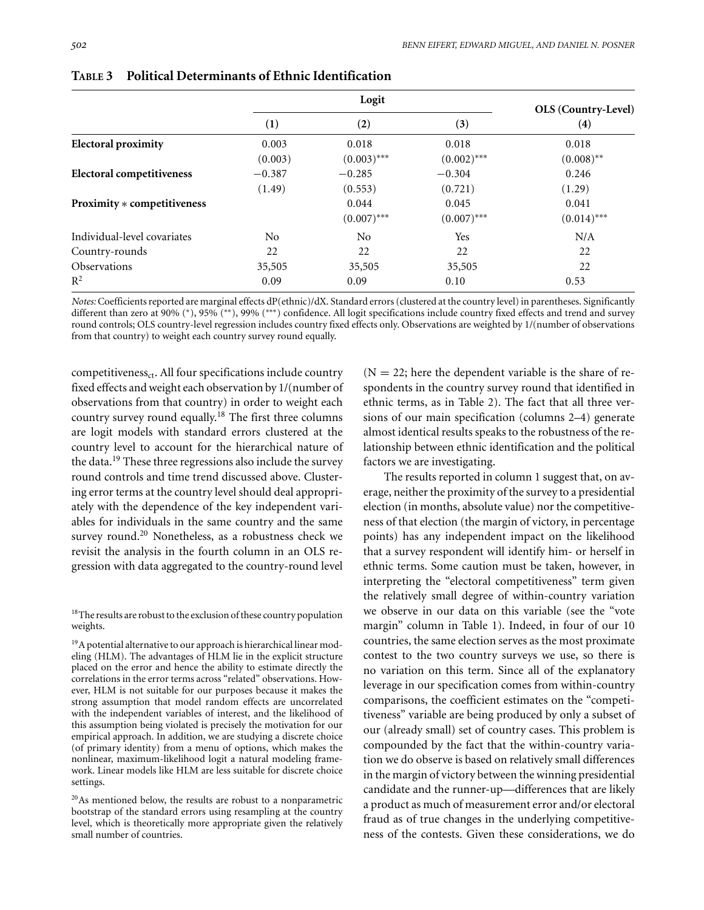|                               | Logit          |                |               | OLS (Country-Level) |  |
|-------------------------------|----------------|----------------|---------------|---------------------|--|
|                               | (1)            | (2)            | (3)           | $\left( 4\right)$   |  |
| <b>Electoral proximity</b>    | 0.003          | 0.018          | 0.018         | 0.018               |  |
|                               | (0.003)        | $(0.003)$ ***  | $(0.002)$ *** | $(0.008)$ **        |  |
| Electoral competitiveness     | $-0.387$       | $-0.285$       | $-0.304$      | 0.246               |  |
|                               | (1.49)         | (0.553)        | (0.721)       | (1.29)              |  |
| Proximity $*$ competitiveness |                | 0.044          | 0.045         | 0.041               |  |
|                               |                | $(0.007)$ ***  | $(0.007)$ *** | $(0.014)$ ***       |  |
| Individual-level covariates   | N <sub>0</sub> | N <sub>0</sub> | Yes           | N/A                 |  |
| Country-rounds                | 22             | 22             | 22            | 22                  |  |
| <b>Observations</b>           | 35,505         | 35,505         | 35,505        | 22                  |  |
| $R^2$                         | 0.09           | 0.09           | 0.10          | 0.53                |  |

#### **TABLE 3 Political Determinants of Ethnic Identification**

*Notes:* Coefficients reported are marginal effects dP(ethnic)/dX. Standard errors (clustered at the country level) in parentheses. Significantly different than zero at 90% (\*), 95% (\*\*), 99% (\*\*\*) confidence. All logit specifications include country fixed effects and trend and survey round controls; OLS country-level regression includes country fixed effects only. Observations are weighted by 1/(number of observations from that country) to weight each country survey round equally.

competitiveness $_{ct}$ . All four specifications include country fixed effects and weight each observation by 1/(number of observations from that country) in order to weight each country survey round equally.18 The first three columns are logit models with standard errors clustered at the country level to account for the hierarchical nature of the data.<sup>19</sup> These three regressions also include the survey round controls and time trend discussed above. Clustering error terms at the country level should deal appropriately with the dependence of the key independent variables for individuals in the same country and the same survey round.<sup>20</sup> Nonetheless, as a robustness check we revisit the analysis in the fourth column in an OLS regression with data aggregated to the country-round level

<sup>18</sup>The results are robust to the exclusion of these country population weights.

<sup>19</sup> A potential alternative to our approach is hierarchical linear modeling (HLM). The advantages of HLM lie in the explicit structure placed on the error and hence the ability to estimate directly the correlations in the error terms across "related" observations. However, HLM is not suitable for our purposes because it makes the strong assumption that model random effects are uncorrelated with the independent variables of interest, and the likelihood of this assumption being violated is precisely the motivation for our empirical approach. In addition, we are studying a discrete choice (of primary identity) from a menu of options, which makes the nonlinear, maximum-likelihood logit a natural modeling framework. Linear models like HLM are less suitable for discrete choice settings.

20As mentioned below, the results are robust to a nonparametric bootstrap of the standard errors using resampling at the country level, which is theoretically more appropriate given the relatively small number of countries.

 $(N = 22)$ ; here the dependent variable is the share of respondents in the country survey round that identified in ethnic terms, as in Table 2). The fact that all three versions of our main specification (columns 2–4) generate almost identical results speaks to the robustness of the relationship between ethnic identification and the political factors we are investigating.

The results reported in column 1 suggest that, on average, neither the proximity of the survey to a presidential election (in months, absolute value) nor the competitiveness of that election (the margin of victory, in percentage points) has any independent impact on the likelihood that a survey respondent will identify him- or herself in ethnic terms. Some caution must be taken, however, in interpreting the "electoral competitiveness" term given the relatively small degree of within-country variation we observe in our data on this variable (see the "vote margin" column in Table 1). Indeed, in four of our 10 countries, the same election serves as the most proximate contest to the two country surveys we use, so there is no variation on this term. Since all of the explanatory leverage in our specification comes from within-country comparisons, the coefficient estimates on the "competitiveness" variable are being produced by only a subset of our (already small) set of country cases. This problem is compounded by the fact that the within-country variation we do observe is based on relatively small differences in the margin of victory between the winning presidential candidate and the runner-up—differences that are likely a product as much of measurement error and/or electoral fraud as of true changes in the underlying competitiveness of the contests. Given these considerations, we do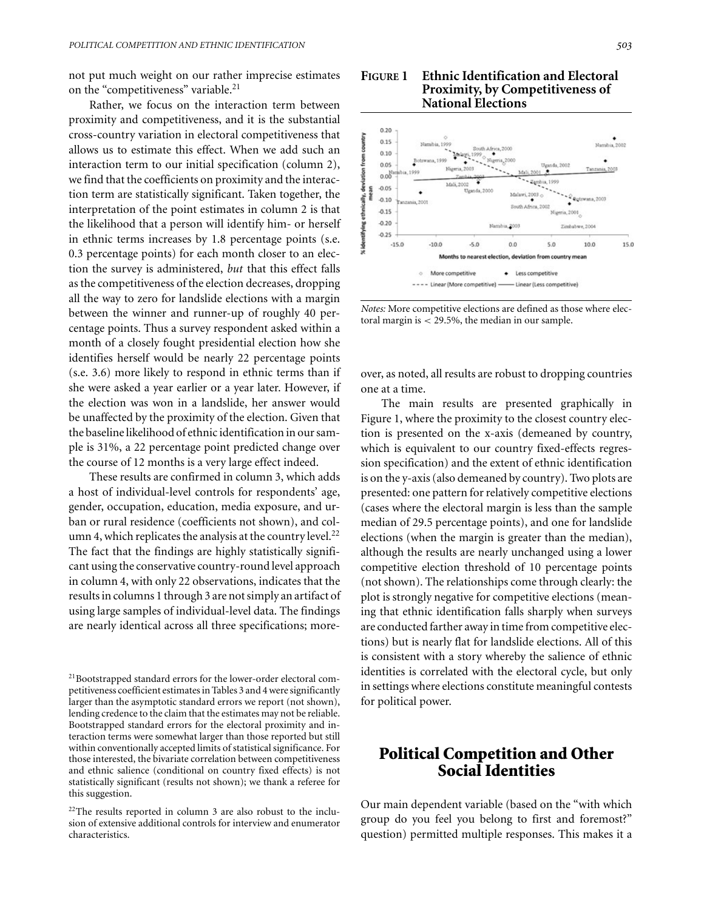not put much weight on our rather imprecise estimates on the "competitiveness" variable.<sup>21</sup>

Rather, we focus on the interaction term between proximity and competitiveness, and it is the substantial cross-country variation in electoral competitiveness that allows us to estimate this effect. When we add such an interaction term to our initial specification (column 2), we find that the coefficients on proximity and the interaction term are statistically significant. Taken together, the interpretation of the point estimates in column 2 is that the likelihood that a person will identify him- or herself in ethnic terms increases by 1.8 percentage points (s.e. 0.3 percentage points) for each month closer to an election the survey is administered, *but* that this effect falls as the competitiveness of the election decreases, dropping all the way to zero for landslide elections with a margin between the winner and runner-up of roughly 40 percentage points. Thus a survey respondent asked within a month of a closely fought presidential election how she identifies herself would be nearly 22 percentage points (s.e. 3.6) more likely to respond in ethnic terms than if she were asked a year earlier or a year later. However, if the election was won in a landslide, her answer would be unaffected by the proximity of the election. Given that the baseline likelihood of ethnic identification in our sample is 31%, a 22 percentage point predicted change over the course of 12 months is a very large effect indeed.

These results are confirmed in column 3, which adds a host of individual-level controls for respondents' age, gender, occupation, education, media exposure, and urban or rural residence (coefficients not shown), and column 4, which replicates the analysis at the country level. $^{22}$ The fact that the findings are highly statistically significant using the conservative country-round level approach in column 4, with only 22 observations, indicates that the results in columns 1 through 3 are not simply an artifact of using large samples of individual-level data. The findings are nearly identical across all three specifications; more-

#### **FIGURE 1 Ethnic Identification and Electoral Proximity, by Competitiveness of National Elections**



*Notes:* More competitive elections are defined as those where electoral margin is < 29.5%, the median in our sample.

over, as noted, all results are robust to dropping countries one at a time.

The main results are presented graphically in Figure 1, where the proximity to the closest country election is presented on the x-axis (demeaned by country, which is equivalent to our country fixed-effects regression specification) and the extent of ethnic identification is on the y-axis (also demeaned by country). Two plots are presented: one pattern for relatively competitive elections (cases where the electoral margin is less than the sample median of 29.5 percentage points), and one for landslide elections (when the margin is greater than the median), although the results are nearly unchanged using a lower competitive election threshold of 10 percentage points (not shown). The relationships come through clearly: the plot is strongly negative for competitive elections (meaning that ethnic identification falls sharply when surveys are conducted farther away in time from competitive elections) but is nearly flat for landslide elections. All of this is consistent with a story whereby the salience of ethnic identities is correlated with the electoral cycle, but only in settings where elections constitute meaningful contests for political power.

# **Political Competition and Other Social Identities**

Our main dependent variable (based on the "with which group do you feel you belong to first and foremost?" question) permitted multiple responses. This makes it a

<sup>21</sup>Bootstrapped standard errors for the lower-order electoral competitiveness coefficient estimates in Tables 3 and 4 were significantly larger than the asymptotic standard errors we report (not shown), lending credence to the claim that the estimates may not be reliable. Bootstrapped standard errors for the electoral proximity and interaction terms were somewhat larger than those reported but still within conventionally accepted limits of statistical significance. For those interested, the bivariate correlation between competitiveness and ethnic salience (conditional on country fixed effects) is not statistically significant (results not shown); we thank a referee for this suggestion.

 $22$ The results reported in column 3 are also robust to the inclusion of extensive additional controls for interview and enumerator characteristics.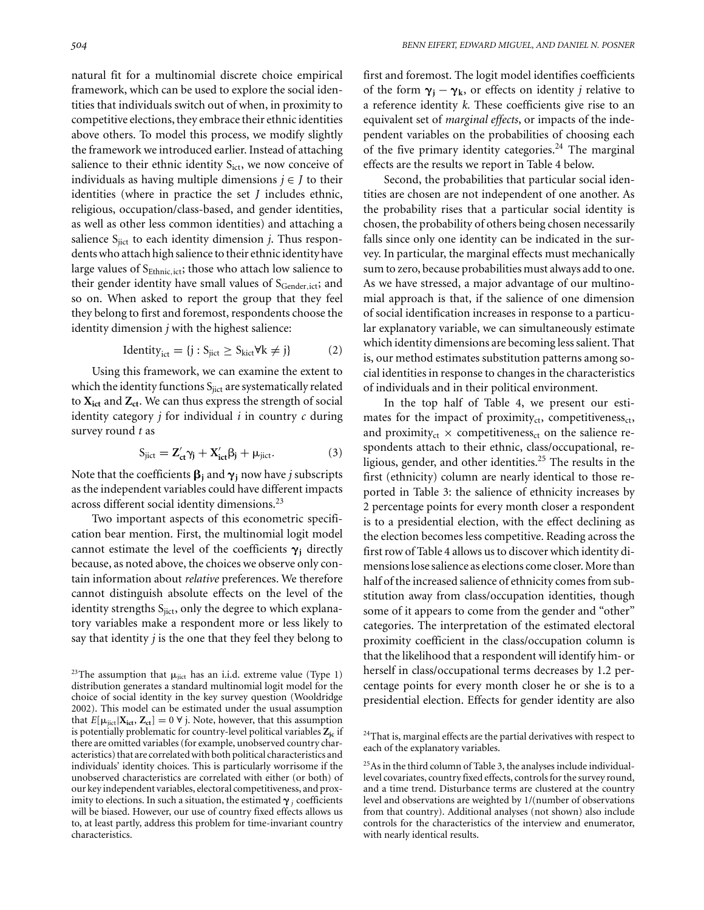natural fit for a multinomial discrete choice empirical framework, which can be used to explore the social identities that individuals switch out of when, in proximity to competitive elections, they embrace their ethnic identities above others. To model this process, we modify slightly the framework we introduced earlier. Instead of attaching salience to their ethnic identity  $S<sub>ict</sub>$ , we now conceive of individuals as having multiple dimensions  $j \in J$  to their identities (where in practice the set *J* includes ethnic, religious, occupation/class-based, and gender identities, as well as other less common identities) and attaching a salience  $S<sub>ijct</sub>$  to each identity dimension *j*. Thus respondents who attach high salience to their ethnic identity have large values of  $S_{Ethnic,ict}$ ; those who attach low salience to their gender identity have small values of S<sub>Gender,ict</sub>; and so on. When asked to report the group that they feel they belong to first and foremost, respondents choose the identity dimension *j* with the highest salience:

$$
Identity_{ict} = \{j : S_{jict} \ge S_{kict} \forall k \neq j\}
$$
 (2)

Using this framework, we can examine the extent to which the identity functions  $S<sub>ijct</sub>$  are systematically related to **X**<sub>ict</sub> and **Z**<sub>ct</sub>. We can thus express the strength of social identity category *j* for individual *i* in country *c* during survey round *t* as

$$
S_{jict} = Z'_{ct} \gamma_j + X'_{ict} \beta_j + \mu_{jict}.
$$
 (3)

Note that the coefficients  $\boldsymbol{\beta}_j$  and  $\boldsymbol{\gamma}_j$  now have  $j$  subscripts as the independent variables could have different impacts across different social identity dimensions.23

Two important aspects of this econometric specification bear mention. First, the multinomial logit model cannot estimate the level of the coefficients  $\gamma_j$  directly because, as noted above, the choices we observe only contain information about *relative* preferences. We therefore cannot distinguish absolute effects on the level of the identity strengths S<sub>jict</sub>, only the degree to which explanatory variables make a respondent more or less likely to say that identity *j* is the one that they feel they belong to

first and foremost. The logit model identifies coefficients of the form  $\gamma_j - \gamma_k$ , or effects on identity *j* relative to a reference identity *k.* These coefficients give rise to an equivalent set of *marginal effects*, or impacts of the independent variables on the probabilities of choosing each of the five primary identity categories.<sup>24</sup> The marginal effects are the results we report in Table 4 below.

Second, the probabilities that particular social identities are chosen are not independent of one another. As the probability rises that a particular social identity is chosen, the probability of others being chosen necessarily falls since only one identity can be indicated in the survey. In particular, the marginal effects must mechanically sum to zero, because probabilities must always add to one. As we have stressed, a major advantage of our multinomial approach is that, if the salience of one dimension of social identification increases in response to a particular explanatory variable, we can simultaneously estimate which identity dimensions are becoming less salient. That is, our method estimates substitution patterns among social identities in response to changes in the characteristics of individuals and in their political environment.

In the top half of Table 4, we present our estimates for the impact of proximity<sub>ct</sub>, competitiveness<sub>ct</sub>, and proximity<sub>ct</sub>  $\times$  competitiveness<sub>ct</sub> on the salience respondents attach to their ethnic, class/occupational, religious, gender, and other identities.<sup>25</sup> The results in the first (ethnicity) column are nearly identical to those reported in Table 3: the salience of ethnicity increases by 2 percentage points for every month closer a respondent is to a presidential election, with the effect declining as the election becomes less competitive. Reading across the first row of Table 4 allows us to discover which identity dimensions lose salience as elections come closer.More than half of the increased salience of ethnicity comes from substitution away from class/occupation identities, though some of it appears to come from the gender and "other" categories. The interpretation of the estimated electoral proximity coefficient in the class/occupation column is that the likelihood that a respondent will identify him- or herself in class/occupational terms decreases by 1.2 percentage points for every month closer he or she is to a presidential election. Effects for gender identity are also

<sup>&</sup>lt;sup>23</sup>The assumption that  $\mu_{\text{dict}}$  has an i.i.d. extreme value (Type 1) distribution generates a standard multinomial logit model for the choice of social identity in the key survey question (Wooldridge 2002). This model can be estimated under the usual assumption that  $E[\mu_{\text{dict}} | \mathbf{X}_{\text{ict}}, \mathbf{Z}_{\text{ct}}] = 0 \; \forall \; j$ . Note, however, that this assumption is potentially problematic for country-level political variables  $Z_{jc}$  if there are omitted variables (for example, unobserved country characteristics) that are correlated with both political characteristics and individuals' identity choices. This is particularly worrisome if the unobserved characteristics are correlated with either (or both) of our key independent variables, electoral competitiveness, and proximity to elections. In such a situation, the estimated  $\gamma_j$  coefficients will be biased. However, our use of country fixed effects allows us to, at least partly, address this problem for time-invariant country characteristics.

 $24$ That is, marginal effects are the partial derivatives with respect to each of the explanatory variables.

 $25$ As in the third column of Table 3, the analyses include individuallevel covariates, country fixed effects, controls for the survey round, and a time trend. Disturbance terms are clustered at the country level and observations are weighted by 1/(number of observations from that country). Additional analyses (not shown) also include controls for the characteristics of the interview and enumerator, with nearly identical results.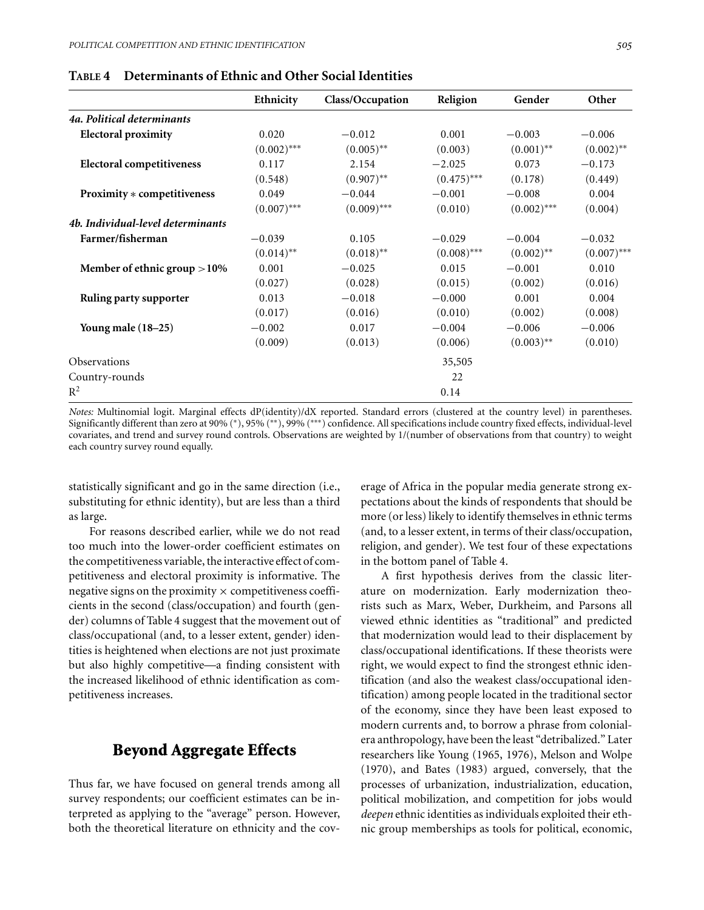|                                   | Ethnicity     | Class/Occupation | Religion      | Gender                  | Other         |
|-----------------------------------|---------------|------------------|---------------|-------------------------|---------------|
| 4a. Political determinants        |               |                  |               |                         |               |
| <b>Electoral proximity</b>        | 0.020         | $-0.012$         | 0.001         | $-0.003$                | $-0.006$      |
|                                   | $(0.002)$ *** | $(0.005)$ **     | (0.003)       | $(0.001)$ <sup>**</sup> | $(0.002)$ **  |
| <b>Electoral competitiveness</b>  | 0.117         | 2.154            | $-2.025$      | 0.073                   | $-0.173$      |
|                                   | (0.548)       | $(0.907)$ **     | $(0.475)$ *** | (0.178)                 | (0.449)       |
| Proximity * competitiveness       | 0.049         | $-0.044$         | $-0.001$      | $-0.008$                | 0.004         |
|                                   | $(0.007)$ *** | $(0.009)$ ***    | (0.010)       | $(0.002)$ ***           | (0.004)       |
| 4b. Individual-level determinants |               |                  |               |                         |               |
| Farmer/fisherman                  | $-0.039$      | 0.105            | $-0.029$      | $-0.004$                | $-0.032$      |
|                                   | $(0.014)$ **  | $(0.018)$ **     | $(0.008)$ *** | $(0.002)$ <sup>**</sup> | $(0.007)$ *** |
| Member of ethnic group $>10\%$    | 0.001         | $-0.025$         | 0.015         | $-0.001$                | 0.010         |
|                                   | (0.027)       | (0.028)          | (0.015)       | (0.002)                 | (0.016)       |
| Ruling party supporter            | 0.013         | $-0.018$         | $-0.000$      | 0.001                   | 0.004         |
|                                   | (0.017)       | (0.016)          | (0.010)       | (0.002)                 | (0.008)       |
| Young male $(18-25)$              | $-0.002$      | 0.017            | $-0.004$      | $-0.006$                | $-0.006$      |
|                                   | (0.009)       | (0.013)          | (0.006)       | $(0.003)$ **            | (0.010)       |
| <b>Observations</b>               |               |                  | 35,505        |                         |               |
| Country-rounds                    |               |                  | 22            |                         |               |
| $R^2$                             |               |                  | 0.14          |                         |               |

**TABLE 4 Determinants of Ethnic and Other Social Identities**

*Notes:* Multinomial logit. Marginal effects dP(identity)/dX reported. Standard errors (clustered at the country level) in parentheses. Significantly different than zero at 90% (\*), 95% (\*\*), 99% (\*\*\*) confidence. All specifications include country fixed effects, individual-level covariates, and trend and survey round controls. Observations are weighted by 1/(number of observations from that country) to weight each country survey round equally.

statistically significant and go in the same direction (i.e., substituting for ethnic identity), but are less than a third as large.

For reasons described earlier, while we do not read too much into the lower-order coefficient estimates on the competitiveness variable, the interactive effect of competitiveness and electoral proximity is informative. The negative signs on the proximity  $\times$  competitiveness coefficients in the second (class/occupation) and fourth (gender) columns of Table 4 suggest that the movement out of class/occupational (and, to a lesser extent, gender) identities is heightened when elections are not just proximate but also highly competitive—a finding consistent with the increased likelihood of ethnic identification as competitiveness increases.

## **Beyond Aggregate Effects**

Thus far, we have focused on general trends among all survey respondents; our coefficient estimates can be interpreted as applying to the "average" person. However, both the theoretical literature on ethnicity and the coverage of Africa in the popular media generate strong expectations about the kinds of respondents that should be more (or less) likely to identify themselves in ethnic terms (and, to a lesser extent, in terms of their class/occupation, religion, and gender). We test four of these expectations in the bottom panel of Table 4.

A first hypothesis derives from the classic literature on modernization. Early modernization theorists such as Marx, Weber, Durkheim, and Parsons all viewed ethnic identities as "traditional" and predicted that modernization would lead to their displacement by class/occupational identifications. If these theorists were right, we would expect to find the strongest ethnic identification (and also the weakest class/occupational identification) among people located in the traditional sector of the economy, since they have been least exposed to modern currents and, to borrow a phrase from colonialera anthropology, have been the least "detribalized." Later researchers like Young (1965, 1976), Melson and Wolpe (1970), and Bates (1983) argued, conversely, that the processes of urbanization, industrialization, education, political mobilization, and competition for jobs would *deepen* ethnic identities as individuals exploited their ethnic group memberships as tools for political, economic,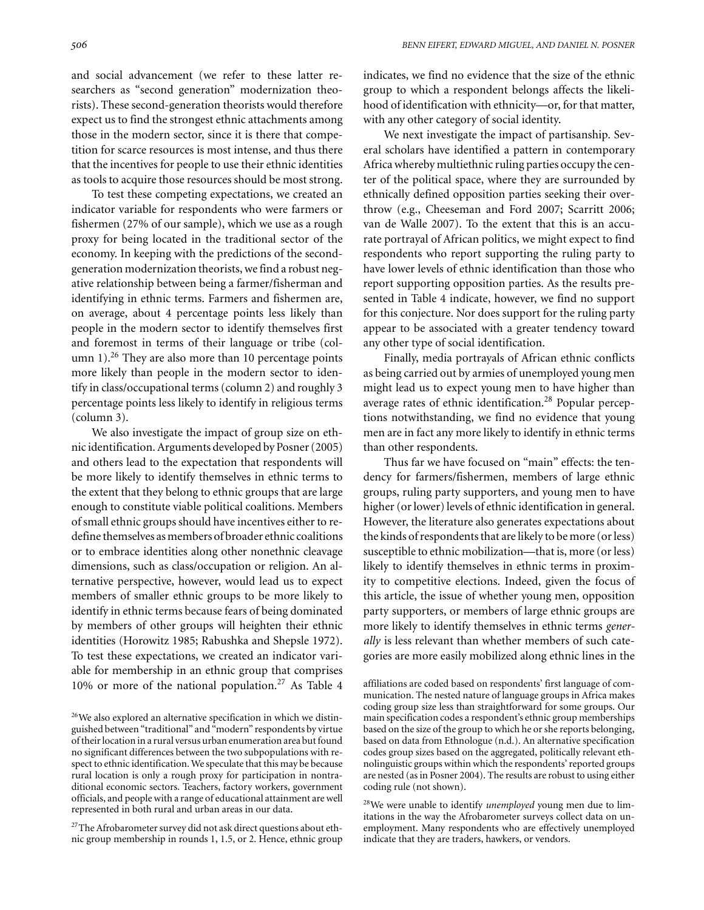and social advancement (we refer to these latter researchers as "second generation" modernization theorists). These second-generation theorists would therefore expect us to find the strongest ethnic attachments among those in the modern sector, since it is there that competition for scarce resources is most intense, and thus there that the incentives for people to use their ethnic identities as tools to acquire those resources should be most strong.

To test these competing expectations, we created an indicator variable for respondents who were farmers or fishermen (27% of our sample), which we use as a rough proxy for being located in the traditional sector of the economy. In keeping with the predictions of the secondgeneration modernization theorists, we find a robust negative relationship between being a farmer/fisherman and identifying in ethnic terms. Farmers and fishermen are, on average, about 4 percentage points less likely than people in the modern sector to identify themselves first and foremost in terms of their language or tribe (column  $1$ ).<sup>26</sup> They are also more than 10 percentage points more likely than people in the modern sector to identify in class/occupational terms (column 2) and roughly 3 percentage points less likely to identify in religious terms (column 3).

We also investigate the impact of group size on ethnic identification. Arguments developed by Posner (2005) and others lead to the expectation that respondents will be more likely to identify themselves in ethnic terms to the extent that they belong to ethnic groups that are large enough to constitute viable political coalitions. Members of small ethnic groups should have incentives either to redefine themselves as members of broader ethnic coalitions or to embrace identities along other nonethnic cleavage dimensions, such as class/occupation or religion. An alternative perspective, however, would lead us to expect members of smaller ethnic groups to be more likely to identify in ethnic terms because fears of being dominated by members of other groups will heighten their ethnic identities (Horowitz 1985; Rabushka and Shepsle 1972). To test these expectations, we created an indicator variable for membership in an ethnic group that comprises 10% or more of the national population.<sup>27</sup> As Table 4

indicates, we find no evidence that the size of the ethnic group to which a respondent belongs affects the likelihood of identification with ethnicity—or, for that matter, with any other category of social identity.

We next investigate the impact of partisanship. Several scholars have identified a pattern in contemporary Africa whereby multiethnic ruling parties occupy the center of the political space, where they are surrounded by ethnically defined opposition parties seeking their overthrow (e.g., Cheeseman and Ford 2007; Scarritt 2006; van de Walle 2007). To the extent that this is an accurate portrayal of African politics, we might expect to find respondents who report supporting the ruling party to have lower levels of ethnic identification than those who report supporting opposition parties. As the results presented in Table 4 indicate, however, we find no support for this conjecture. Nor does support for the ruling party appear to be associated with a greater tendency toward any other type of social identification.

Finally, media portrayals of African ethnic conflicts as being carried out by armies of unemployed young men might lead us to expect young men to have higher than average rates of ethnic identification.<sup>28</sup> Popular perceptions notwithstanding, we find no evidence that young men are in fact any more likely to identify in ethnic terms than other respondents.

Thus far we have focused on "main" effects: the tendency for farmers/fishermen, members of large ethnic groups, ruling party supporters, and young men to have higher (or lower) levels of ethnic identification in general. However, the literature also generates expectations about the kinds of respondents that are likely to be more (or less) susceptible to ethnic mobilization—that is, more (or less) likely to identify themselves in ethnic terms in proximity to competitive elections. Indeed, given the focus of this article, the issue of whether young men, opposition party supporters, or members of large ethnic groups are more likely to identify themselves in ethnic terms *generally* is less relevant than whether members of such categories are more easily mobilized along ethnic lines in the

<sup>26</sup>We also explored an alternative specification in which we distinguished between "traditional" and "modern" respondents by virtue of their location in a rural versus urban enumeration area but found no significant differences between the two subpopulations with respect to ethnic identification. We speculate that this may be because rural location is only a rough proxy for participation in nontraditional economic sectors. Teachers, factory workers, government officials, and people with a range of educational attainment are well represented in both rural and urban areas in our data.

<sup>&</sup>lt;sup>27</sup>The Afrobarometer survey did not ask direct questions about ethnic group membership in rounds 1, 1.5, or 2. Hence, ethnic group

affiliations are coded based on respondents' first language of communication. The nested nature of language groups in Africa makes coding group size less than straightforward for some groups. Our main specification codes a respondent's ethnic group memberships based on the size of the group to which he or she reports belonging, based on data from Ethnologue (n.d.). An alternative specification codes group sizes based on the aggregated, politically relevant ethnolinguistic groups within which the respondents' reported groups are nested (as in Posner 2004). The results are robust to using either coding rule (not shown).

<sup>28</sup>We were unable to identify *unemployed* young men due to limitations in the way the Afrobarometer surveys collect data on unemployment. Many respondents who are effectively unemployed indicate that they are traders, hawkers, or vendors.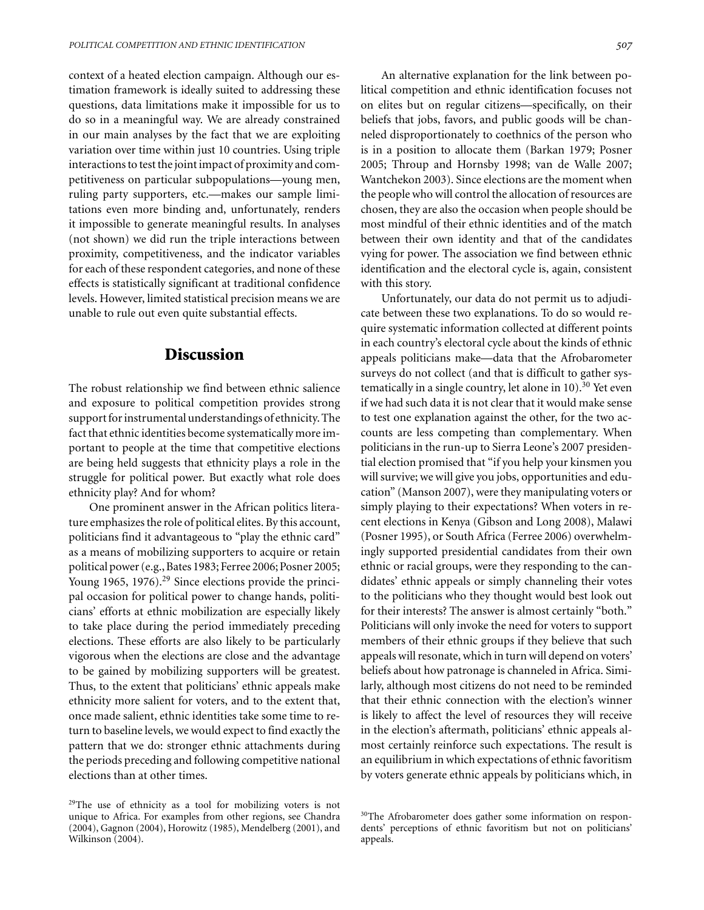context of a heated election campaign. Although our estimation framework is ideally suited to addressing these questions, data limitations make it impossible for us to do so in a meaningful way. We are already constrained in our main analyses by the fact that we are exploiting variation over time within just 10 countries. Using triple interactions to test the joint impact of proximity and competitiveness on particular subpopulations—young men, ruling party supporters, etc.—makes our sample limitations even more binding and, unfortunately, renders it impossible to generate meaningful results. In analyses (not shown) we did run the triple interactions between proximity, competitiveness, and the indicator variables for each of these respondent categories, and none of these effects is statistically significant at traditional confidence levels. However, limited statistical precision means we are unable to rule out even quite substantial effects.

# **Discussion**

The robust relationship we find between ethnic salience and exposure to political competition provides strong support for instrumental understandings of ethnicity. The fact that ethnic identities become systematically more important to people at the time that competitive elections are being held suggests that ethnicity plays a role in the struggle for political power. But exactly what role does ethnicity play? And for whom?

One prominent answer in the African politics literature emphasizes the role of political elites. By this account, politicians find it advantageous to "play the ethnic card" as a means of mobilizing supporters to acquire or retain political power (e.g., Bates 1983; Ferree 2006; Posner 2005; Young 1965, 1976).<sup>29</sup> Since elections provide the principal occasion for political power to change hands, politicians' efforts at ethnic mobilization are especially likely to take place during the period immediately preceding elections. These efforts are also likely to be particularly vigorous when the elections are close and the advantage to be gained by mobilizing supporters will be greatest. Thus, to the extent that politicians' ethnic appeals make ethnicity more salient for voters, and to the extent that, once made salient, ethnic identities take some time to return to baseline levels, we would expect to find exactly the pattern that we do: stronger ethnic attachments during the periods preceding and following competitive national elections than at other times.

An alternative explanation for the link between political competition and ethnic identification focuses not on elites but on regular citizens—specifically, on their beliefs that jobs, favors, and public goods will be channeled disproportionately to coethnics of the person who is in a position to allocate them (Barkan 1979; Posner 2005; Throup and Hornsby 1998; van de Walle 2007; Wantchekon 2003). Since elections are the moment when the people who will control the allocation of resources are chosen, they are also the occasion when people should be most mindful of their ethnic identities and of the match between their own identity and that of the candidates vying for power. The association we find between ethnic identification and the electoral cycle is, again, consistent with this story.

Unfortunately, our data do not permit us to adjudicate between these two explanations. To do so would require systematic information collected at different points in each country's electoral cycle about the kinds of ethnic appeals politicians make—data that the Afrobarometer surveys do not collect (and that is difficult to gather systematically in a single country, let alone in 10).<sup>30</sup> Yet even if we had such data it is not clear that it would make sense to test one explanation against the other, for the two accounts are less competing than complementary. When politicians in the run-up to Sierra Leone's 2007 presidential election promised that "if you help your kinsmen you will survive; we will give you jobs, opportunities and education" (Manson 2007), were they manipulating voters or simply playing to their expectations? When voters in recent elections in Kenya (Gibson and Long 2008), Malawi (Posner 1995), or South Africa (Ferree 2006) overwhelmingly supported presidential candidates from their own ethnic or racial groups, were they responding to the candidates' ethnic appeals or simply channeling their votes to the politicians who they thought would best look out for their interests? The answer is almost certainly "both." Politicians will only invoke the need for voters to support members of their ethnic groups if they believe that such appeals will resonate, which in turn will depend on voters' beliefs about how patronage is channeled in Africa. Similarly, although most citizens do not need to be reminded that their ethnic connection with the election's winner is likely to affect the level of resources they will receive in the election's aftermath, politicians' ethnic appeals almost certainly reinforce such expectations. The result is an equilibrium in which expectations of ethnic favoritism by voters generate ethnic appeals by politicians which, in

<sup>&</sup>lt;sup>29</sup>The use of ethnicity as a tool for mobilizing voters is not unique to Africa. For examples from other regions, see Chandra (2004), Gagnon (2004), Horowitz (1985), Mendelberg (2001), and Wilkinson (2004).

<sup>&</sup>lt;sup>30</sup>The Afrobarometer does gather some information on respondents' perceptions of ethnic favoritism but not on politicians' appeals.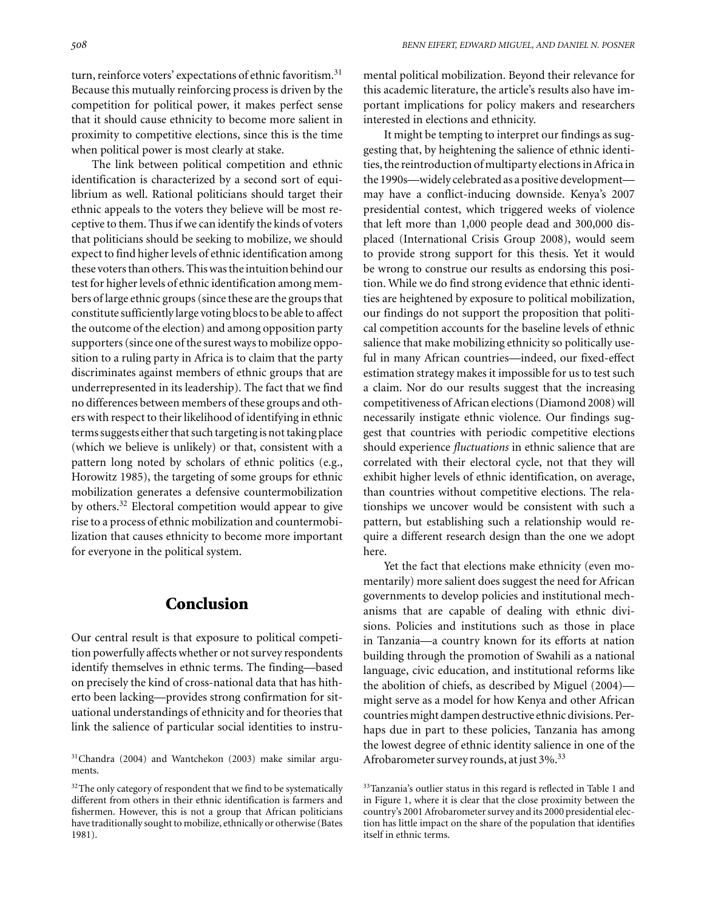turn, reinforce voters' expectations of ethnic favoritism.<sup>31</sup> Because this mutually reinforcing process is driven by the competition for political power, it makes perfect sense that it should cause ethnicity to become more salient in proximity to competitive elections, since this is the time when political power is most clearly at stake.

The link between political competition and ethnic identification is characterized by a second sort of equilibrium as well. Rational politicians should target their ethnic appeals to the voters they believe will be most receptive to them. Thus if we can identify the kinds of voters that politicians should be seeking to mobilize, we should expect to find higher levels of ethnic identification among these voters than others. This was the intuition behind our test for higher levels of ethnic identification among members of large ethnic groups (since these are the groups that constitute sufficiently large voting blocs to be able to affect the outcome of the election) and among opposition party supporters (since one of the surest ways to mobilize opposition to a ruling party in Africa is to claim that the party discriminates against members of ethnic groups that are underrepresented in its leadership). The fact that we find no differences between members of these groups and others with respect to their likelihood of identifying in ethnic terms suggests either that such targeting is not taking place (which we believe is unlikely) or that, consistent with a pattern long noted by scholars of ethnic politics (e.g., Horowitz 1985), the targeting of some groups for ethnic mobilization generates a defensive countermobilization by others.32 Electoral competition would appear to give rise to a process of ethnic mobilization and countermobilization that causes ethnicity to become more important for everyone in the political system.

## **Conclusion**

Our central result is that exposure to political competition powerfully affects whether or not survey respondents identify themselves in ethnic terms. The finding—based on precisely the kind of cross-national data that has hitherto been lacking—provides strong confirmation for situational understandings of ethnicity and for theories that link the salience of particular social identities to instrumental political mobilization. Beyond their relevance for this academic literature, the article's results also have important implications for policy makers and researchers interested in elections and ethnicity.

It might be tempting to interpret our findings as suggesting that, by heightening the salience of ethnic identities, the reintroduction of multiparty elections in Africa in the 1990s—widely celebrated as a positive development may have a conflict-inducing downside. Kenya's 2007 presidential contest, which triggered weeks of violence that left more than 1,000 people dead and 300,000 displaced (International Crisis Group 2008), would seem to provide strong support for this thesis. Yet it would be wrong to construe our results as endorsing this position. While we do find strong evidence that ethnic identities are heightened by exposure to political mobilization, our findings do not support the proposition that political competition accounts for the baseline levels of ethnic salience that make mobilizing ethnicity so politically useful in many African countries—indeed, our fixed-effect estimation strategy makes it impossible for us to test such a claim. Nor do our results suggest that the increasing competitiveness of African elections (Diamond 2008) will necessarily instigate ethnic violence. Our findings suggest that countries with periodic competitive elections should experience *fluctuations* in ethnic salience that are correlated with their electoral cycle, not that they will exhibit higher levels of ethnic identification, on average, than countries without competitive elections. The relationships we uncover would be consistent with such a pattern, but establishing such a relationship would require a different research design than the one we adopt here.

Yet the fact that elections make ethnicity (even momentarily) more salient does suggest the need for African governments to develop policies and institutional mechanisms that are capable of dealing with ethnic divisions. Policies and institutions such as those in place in Tanzania—a country known for its efforts at nation building through the promotion of Swahili as a national language, civic education, and institutional reforms like the abolition of chiefs, as described by Miguel (2004) might serve as a model for how Kenya and other African countries might dampen destructive ethnic divisions. Perhaps due in part to these policies, Tanzania has among the lowest degree of ethnic identity salience in one of the Afrobarometer survey rounds, at just 3%.<sup>33</sup>

<sup>31</sup>Chandra (2004) and Wantchekon (2003) make similar arguments.

 $32$ The only category of respondent that we find to be systematically different from others in their ethnic identification is farmers and fishermen. However, this is not a group that African politicians have traditionally sought to mobilize, ethnically or otherwise (Bates 1981).

<sup>&</sup>lt;sup>33</sup>Tanzania's outlier status in this regard is reflected in Table 1 and in Figure 1, where it is clear that the close proximity between the country's 2001 Afrobarometer survey and its 2000 presidential election has little impact on the share of the population that identifies itself in ethnic terms.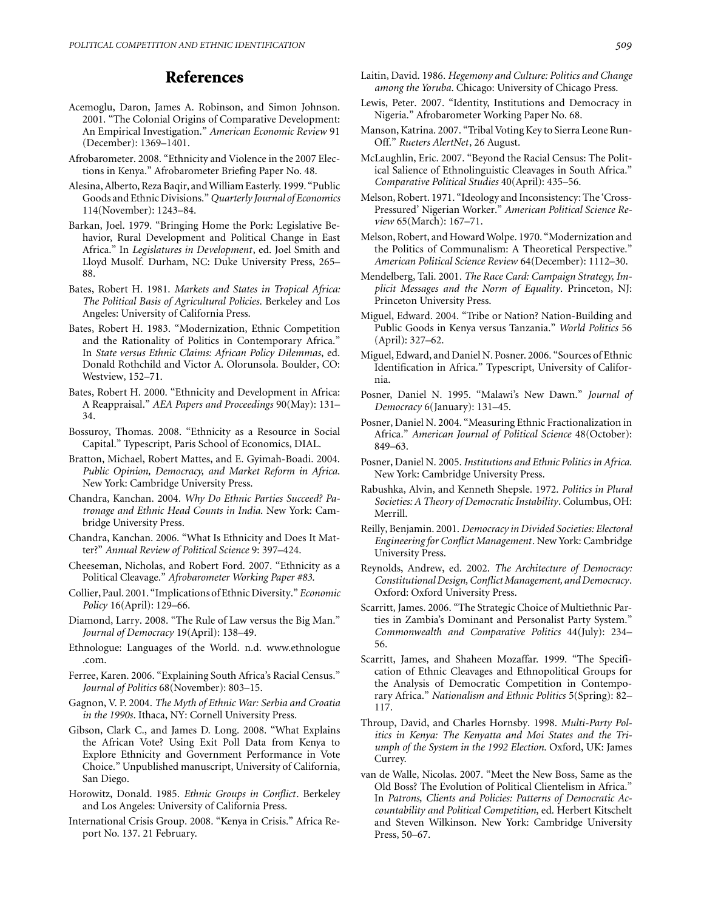#### **References**

- Acemoglu, Daron, James A. Robinson, and Simon Johnson. 2001. "The Colonial Origins of Comparative Development: An Empirical Investigation." *American Economic Review* 91 (December): 1369–1401.
- Afrobarometer. 2008. "Ethnicity and Violence in the 2007 Elections in Kenya." Afrobarometer Briefing Paper No. 48.
- Alesina, Alberto, Reza Baqir, andWilliam Easterly. 1999. "Public Goods and Ethnic Divisions."*Quarterly Journal of Economics* 114(November): 1243–84.
- Barkan, Joel. 1979. "Bringing Home the Pork: Legislative Behavior, Rural Development and Political Change in East Africa." In *Legislatures in Development*, ed. Joel Smith and Lloyd Musolf. Durham, NC: Duke University Press, 265– 88.
- Bates, Robert H. 1981. *Markets and States in Tropical Africa: The Political Basis of Agricultural Policies*. Berkeley and Los Angeles: University of California Press.
- Bates, Robert H. 1983. "Modernization, Ethnic Competition and the Rationality of Politics in Contemporary Africa." In *State versus Ethnic Claims: African Policy Dilemmas*, ed. Donald Rothchild and Victor A. Olorunsola. Boulder, CO: Westview, 152–71.
- Bates, Robert H. 2000. "Ethnicity and Development in Africa: A Reappraisal." *AEA Papers and Proceedings* 90(May): 131– 34.
- Bossuroy, Thomas. 2008. "Ethnicity as a Resource in Social Capital." Typescript, Paris School of Economics, DIAL.
- Bratton, Michael, Robert Mattes, and E. Gyimah-Boadi. 2004. *Public Opinion, Democracy, and Market Reform in Africa*. New York: Cambridge University Press.
- Chandra, Kanchan. 2004. *Why Do Ethnic Parties Succeed? Patronage and Ethnic Head Counts in India*. New York: Cambridge University Press.
- Chandra, Kanchan. 2006. "What Is Ethnicity and Does It Matter?" *Annual Review of Political Science* 9: 397–424.
- Cheeseman, Nicholas, and Robert Ford. 2007. "Ethnicity as a Political Cleavage." *Afrobarometer Working Paper #83*.
- Collier, Paul. 2001. "Implications of Ethnic Diversity."*Economic Policy* 16(April): 129–66.
- Diamond, Larry. 2008. "The Rule of Law versus the Big Man." *Journal of Democracy* 19(April): 138–49.
- Ethnologue: Languages of the World. n.d. www.ethnologue .com.
- Ferree, Karen. 2006. "Explaining South Africa's Racial Census." *Journal of Politics* 68(November): 803–15.
- Gagnon, V. P. 2004. *The Myth of Ethnic War: Serbia and Croatia in the 1990s*. Ithaca, NY: Cornell University Press.
- Gibson, Clark C., and James D. Long. 2008. "What Explains the African Vote? Using Exit Poll Data from Kenya to Explore Ethnicity and Government Performance in Vote Choice." Unpublished manuscript, University of California, San Diego.
- Horowitz, Donald. 1985. *Ethnic Groups in Conflict*. Berkeley and Los Angeles: University of California Press.
- International Crisis Group. 2008. "Kenya in Crisis." Africa Report No. 137. 21 February.
- Laitin, David. 1986. *Hegemony and Culture: Politics and Change*
- *among the Yoruba*. Chicago: University of Chicago Press.
- Lewis, Peter. 2007. "Identity, Institutions and Democracy in Nigeria." Afrobarometer Working Paper No. 68.
- Manson, Katrina. 2007. "Tribal Voting Key to Sierra Leone Run-Off." *Rueters AlertNet*, 26 August.
- McLaughlin, Eric. 2007. "Beyond the Racial Census: The Political Salience of Ethnolinguistic Cleavages in South Africa." *Comparative Political Studies* 40(April): 435–56.
- Melson, Robert. 1971. "Ideology and Inconsistency: The 'Cross-Pressured' Nigerian Worker." *American Political Science Review* 65(March): 167–71.
- Melson, Robert, and HowardWolpe. 1970. "Modernization and the Politics of Communalism: A Theoretical Perspective." *American Political Science Review* 64(December): 1112–30.
- Mendelberg, Tali. 2001. *The Race Card: Campaign Strategy, Implicit Messages and the Norm of Equality*. Princeton, NJ: Princeton University Press.
- Miguel, Edward. 2004. "Tribe or Nation? Nation-Building and Public Goods in Kenya versus Tanzania." *World Politics* 56 (April): 327–62.
- Miguel, Edward, and Daniel N. Posner. 2006. "Sources of Ethnic Identification in Africa." Typescript, University of California.
- Posner, Daniel N. 1995. "Malawi's New Dawn." *Journal of Democracy* 6(January): 131–45.
- Posner, Daniel N. 2004. "Measuring Ethnic Fractionalization in Africa." *American Journal of Political Science* 48(October): 849–63.
- Posner, Daniel N. 2005. *Institutions and Ethnic Politics in Africa*. New York: Cambridge University Press.
- Rabushka, Alvin, and Kenneth Shepsle. 1972. *Politics in Plural Societies: A Theory of Democratic Instability*. Columbus, OH: Merrill.
- Reilly, Benjamin. 2001. *Democracy in Divided Societies: Electoral Engineering for Conflict Management*. New York: Cambridge University Press.
- Reynolds, Andrew, ed. 2002. *The Architecture of Democracy: Constitutional Design, ConflictManagement, and Democracy*. Oxford: Oxford University Press.
- Scarritt, James. 2006. "The Strategic Choice of Multiethnic Parties in Zambia's Dominant and Personalist Party System." *Commonwealth and Comparative Politics* 44(July): 234– 56.
- Scarritt, James, and Shaheen Mozaffar. 1999. "The Specification of Ethnic Cleavages and Ethnopolitical Groups for the Analysis of Democratic Competition in Contemporary Africa." *Nationalism and Ethnic Politics* 5(Spring): 82– 117.
- Throup, David, and Charles Hornsby. 1998. *Multi-Party Politics in Kenya: The Kenyatta and Moi States and the Triumph of the System in the 1992 Election*. Oxford, UK: James Currey.
- van de Walle, Nicolas. 2007. "Meet the New Boss, Same as the Old Boss? The Evolution of Political Clientelism in Africa." In *Patrons, Clients and Policies: Patterns of Democratic Accountability and Political Competition*, ed. Herbert Kitschelt and Steven Wilkinson. New York: Cambridge University Press, 50–67.